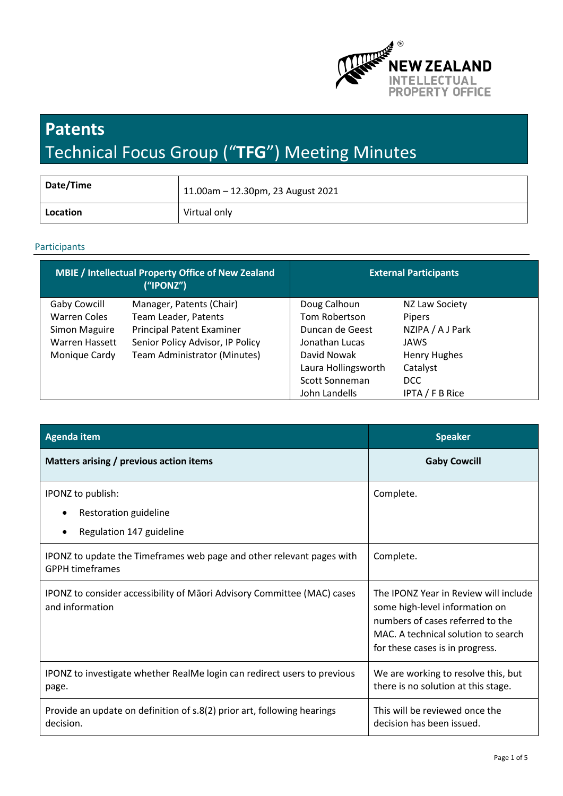

# **Patents**  Technical Focus Group ("**TFG**") Meeting Minutes

| Date/Time | 11.00am - 12.30pm, 23 August 2021 |
|-----------|-----------------------------------|
| Location  | Virtual only                      |

## Participants

| <b>MBIE / Intellectual Property Office of New Zealand</b><br>("IPONZ") |                                  | <b>External Participants</b> |                     |
|------------------------------------------------------------------------|----------------------------------|------------------------------|---------------------|
| Gaby Cowcill                                                           | Manager, Patents (Chair)         | Doug Calhoun                 | NZ Law Society      |
| <b>Warren Coles</b>                                                    | Team Leader, Patents             | Tom Robertson                | Pipers              |
| Simon Maguire                                                          | <b>Principal Patent Examiner</b> | Duncan de Geest              | NZIPA / A J Park    |
| <b>Warren Hassett</b>                                                  | Senior Policy Advisor, IP Policy | Jonathan Lucas               | JAWS                |
| Monique Cardy                                                          | Team Administrator (Minutes)     | David Nowak                  | <b>Henry Hughes</b> |
|                                                                        |                                  | Laura Hollingsworth          | Catalyst            |
|                                                                        |                                  | Scott Sonneman               | DCC                 |
|                                                                        |                                  | John Landells                | IPTA / F B Rice     |

| <b>Agenda item</b>                                                                              | <b>Speaker</b>                                                                                                                                                                        |
|-------------------------------------------------------------------------------------------------|---------------------------------------------------------------------------------------------------------------------------------------------------------------------------------------|
| Matters arising / previous action items                                                         | <b>Gaby Cowcill</b>                                                                                                                                                                   |
| IPONZ to publish:                                                                               | Complete.                                                                                                                                                                             |
| Restoration guideline                                                                           |                                                                                                                                                                                       |
| Regulation 147 guideline                                                                        |                                                                                                                                                                                       |
| IPONZ to update the Timeframes web page and other relevant pages with<br><b>GPPH timeframes</b> | Complete.                                                                                                                                                                             |
| IPONZ to consider accessibility of Māori Advisory Committee (MAC) cases<br>and information      | The IPONZ Year in Review will include<br>some high-level information on<br>numbers of cases referred to the<br>MAC. A technical solution to search<br>for these cases is in progress. |
| IPONZ to investigate whether RealMe login can redirect users to previous<br>page.               | We are working to resolve this, but<br>there is no solution at this stage.                                                                                                            |
| Provide an update on definition of s.8(2) prior art, following hearings<br>decision.            | This will be reviewed once the<br>decision has been issued.                                                                                                                           |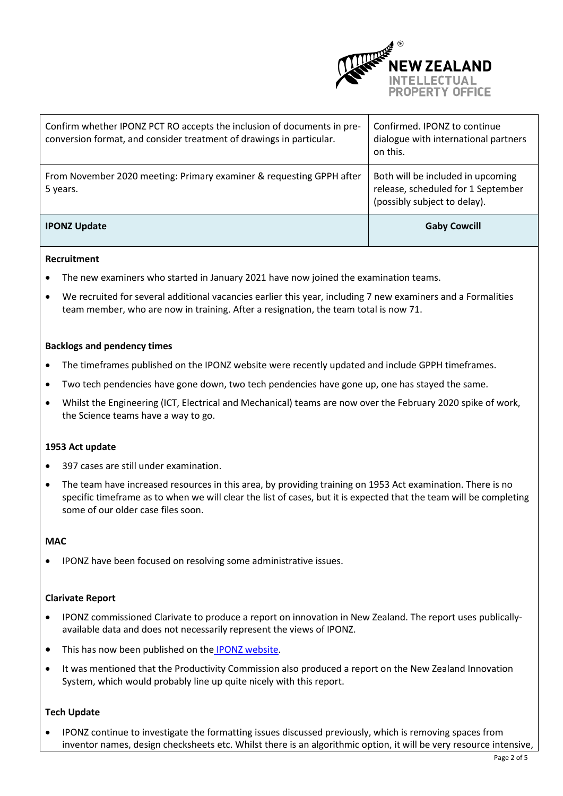

| Confirm whether IPONZ PCT RO accepts the inclusion of documents in pre-<br>conversion format, and consider treatment of drawings in particular. | Confirmed. IPONZ to continue<br>dialogue with international partners<br>on this.                        |
|-------------------------------------------------------------------------------------------------------------------------------------------------|---------------------------------------------------------------------------------------------------------|
| From November 2020 meeting: Primary examiner & requesting GPPH after<br>5 years.                                                                | Both will be included in upcoming<br>release, scheduled for 1 September<br>(possibly subject to delay). |
| <b>IPONZ Update</b>                                                                                                                             | <b>Gaby Cowcill</b>                                                                                     |

## **Recruitment**

- The new examiners who started in January 2021 have now joined the examination teams.
- We recruited for several additional vacancies earlier this year, including 7 new examiners and a Formalities team member, who are now in training. After a resignation, the team total is now 71.

#### **Backlogs and pendency times**

- The timeframes published on the IPONZ website were recently updated and include GPPH timeframes.
- Two tech pendencies have gone down, two tech pendencies have gone up, one has stayed the same.
- Whilst the Engineering (ICT, Electrical and Mechanical) teams are now over the February 2020 spike of work, the Science teams have a way to go.

## **1953 Act update**

- 397 cases are still under examination.
- The team have increased resources in this area, by providing training on 1953 Act examination. There is no specific timeframe as to when we will clear the list of cases, but it is expected that the team will be completing some of our older case files soon.

## **MAC**

• IPONZ have been focused on resolving some administrative issues.

#### **Clarivate Report**

- IPONZ commissioned Clarivate to produce a report on innovation in New Zealand. The report uses publicallyavailable data and does not necessarily represent the views of IPONZ.
- This has now been published on the [IPONZ website.](https://www.iponz.govt.nz/assets/pdf/about-iponz/clarivate-report-survey-of-new-zealand-patent-activity.pdf)
- It was mentioned that the Productivity Commission also produced a report on the New Zealand Innovation System, which would probably line up quite nicely with this report.

## **Tech Update**

• IPONZ continue to investigate the formatting issues discussed previously, which is removing spaces from inventor names, design checksheets etc. Whilst there is an algorithmic option, it will be very resource intensive,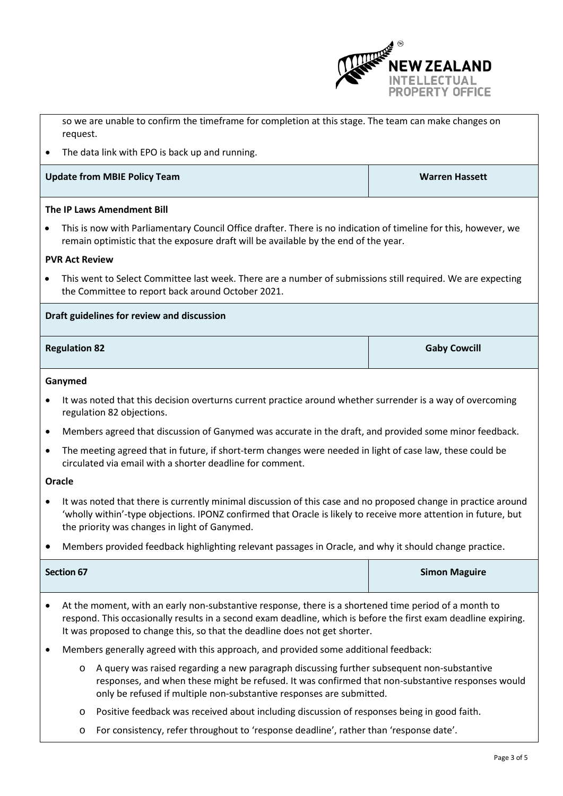

|                                            | so we are unable to confirm the timeframe for completion at this stage. The team can make changes on<br>request.                                                                                                                                                                                       |                      |  |
|--------------------------------------------|--------------------------------------------------------------------------------------------------------------------------------------------------------------------------------------------------------------------------------------------------------------------------------------------------------|----------------------|--|
| $\bullet$                                  | The data link with EPO is back up and running.                                                                                                                                                                                                                                                         |                      |  |
|                                            | <b>Update from MBIE Policy Team</b><br><b>Warren Hassett</b>                                                                                                                                                                                                                                           |                      |  |
|                                            | The IP Laws Amendment Bill                                                                                                                                                                                                                                                                             |                      |  |
| $\bullet$                                  | This is now with Parliamentary Council Office drafter. There is no indication of timeline for this, however, we<br>remain optimistic that the exposure draft will be available by the end of the year.                                                                                                 |                      |  |
|                                            | <b>PVR Act Review</b>                                                                                                                                                                                                                                                                                  |                      |  |
| $\bullet$                                  | This went to Select Committee last week. There are a number of submissions still required. We are expecting<br>the Committee to report back around October 2021.                                                                                                                                       |                      |  |
| Draft guidelines for review and discussion |                                                                                                                                                                                                                                                                                                        |                      |  |
| <b>Regulation 82</b>                       |                                                                                                                                                                                                                                                                                                        | <b>Gaby Cowcill</b>  |  |
|                                            | Ganymed                                                                                                                                                                                                                                                                                                |                      |  |
| $\bullet$                                  | It was noted that this decision overturns current practice around whether surrender is a way of overcoming<br>regulation 82 objections.                                                                                                                                                                |                      |  |
| $\bullet$                                  | Members agreed that discussion of Ganymed was accurate in the draft, and provided some minor feedback.                                                                                                                                                                                                 |                      |  |
| $\bullet$                                  | The meeting agreed that in future, if short-term changes were needed in light of case law, these could be<br>circulated via email with a shorter deadline for comment.                                                                                                                                 |                      |  |
|                                            | Oracle                                                                                                                                                                                                                                                                                                 |                      |  |
| $\bullet$                                  | It was noted that there is currently minimal discussion of this case and no proposed change in practice around<br>'wholly within'-type objections. IPONZ confirmed that Oracle is likely to receive more attention in future, but<br>the priority was changes in light of Ganymed.                     |                      |  |
|                                            | Members provided feedback highlighting relevant passages in Oracle, and why it should change practice.                                                                                                                                                                                                 |                      |  |
|                                            | <b>Section 67</b>                                                                                                                                                                                                                                                                                      | <b>Simon Maguire</b> |  |
|                                            | At the moment, with an early non-substantive response, there is a shortened time period of a month to<br>respond. This occasionally results in a second exam deadline, which is before the first exam deadline expiring.<br>It was proposed to change this, so that the deadline does not get shorter. |                      |  |
|                                            | Members generally agreed with this approach, and provided some additional feedback:                                                                                                                                                                                                                    |                      |  |

- o A query was raised regarding a new paragraph discussing further subsequent non-substantive responses, and when these might be refused. It was confirmed that non-substantive responses would only be refused if multiple non-substantive responses are submitted.
- o Positive feedback was received about including discussion of responses being in good faith.
- o For consistency, refer throughout to 'response deadline', rather than 'response date'.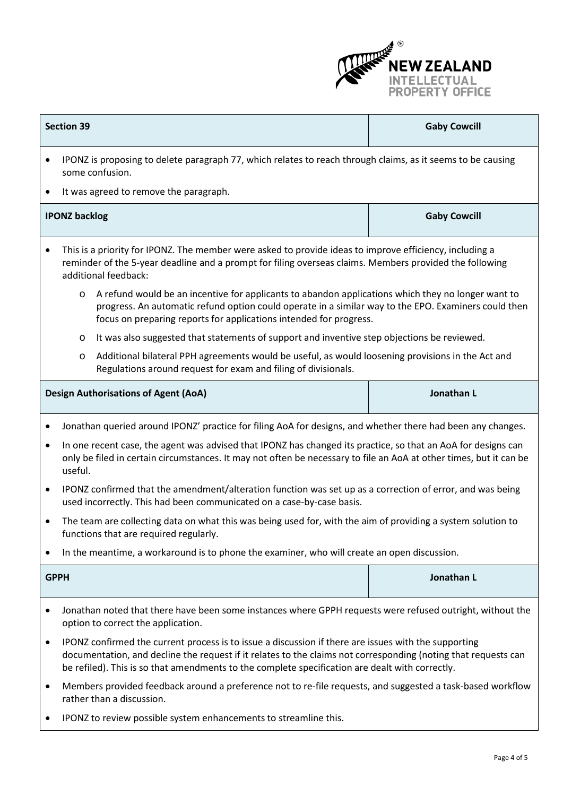

|                                             | <b>Section 39</b>                                                                                                                                                                                                                                                                                                         | <b>Gaby Cowcill</b> |  |
|---------------------------------------------|---------------------------------------------------------------------------------------------------------------------------------------------------------------------------------------------------------------------------------------------------------------------------------------------------------------------------|---------------------|--|
| $\bullet$                                   | IPONZ is proposing to delete paragraph 77, which relates to reach through claims, as it seems to be causing<br>some confusion.                                                                                                                                                                                            |                     |  |
| $\bullet$                                   | It was agreed to remove the paragraph.                                                                                                                                                                                                                                                                                    |                     |  |
|                                             | <b>IPONZ backlog</b>                                                                                                                                                                                                                                                                                                      | <b>Gaby Cowcill</b> |  |
| $\bullet$                                   | This is a priority for IPONZ. The member were asked to provide ideas to improve efficiency, including a<br>reminder of the 5-year deadline and a prompt for filing overseas claims. Members provided the following<br>additional feedback:                                                                                |                     |  |
|                                             | A refund would be an incentive for applicants to abandon applications which they no longer want to<br>$\circ$<br>progress. An automatic refund option could operate in a similar way to the EPO. Examiners could then<br>focus on preparing reports for applications intended for progress.                               |                     |  |
|                                             | It was also suggested that statements of support and inventive step objections be reviewed.<br>$\circ$                                                                                                                                                                                                                    |                     |  |
|                                             | Additional bilateral PPH agreements would be useful, as would loosening provisions in the Act and<br>O<br>Regulations around request for exam and filing of divisionals.                                                                                                                                                  |                     |  |
| <b>Design Authorisations of Agent (AoA)</b> |                                                                                                                                                                                                                                                                                                                           | Jonathan L          |  |
| $\bullet$                                   | Jonathan queried around IPONZ' practice for filing AoA for designs, and whether there had been any changes.                                                                                                                                                                                                               |                     |  |
| $\bullet$                                   | In one recent case, the agent was advised that IPONZ has changed its practice, so that an AoA for designs can<br>only be filed in certain circumstances. It may not often be necessary to file an AoA at other times, but it can be<br>useful.                                                                            |                     |  |
| ٠                                           | IPONZ confirmed that the amendment/alteration function was set up as a correction of error, and was being<br>used incorrectly. This had been communicated on a case-by-case basis.                                                                                                                                        |                     |  |
| ٠                                           | The team are collecting data on what this was being used for, with the aim of providing a system solution to<br>functions that are required regularly.                                                                                                                                                                    |                     |  |
|                                             | In the meantime, a workaround is to phone the examiner, who will create an open discussion.                                                                                                                                                                                                                               |                     |  |
| <b>GPPH</b>                                 |                                                                                                                                                                                                                                                                                                                           | Jonathan L          |  |
| ٠                                           | Jonathan noted that there have been some instances where GPPH requests were refused outright, without the<br>option to correct the application.                                                                                                                                                                           |                     |  |
| ٠                                           | IPONZ confirmed the current process is to issue a discussion if there are issues with the supporting<br>documentation, and decline the request if it relates to the claims not corresponding (noting that requests can<br>be refiled). This is so that amendments to the complete specification are dealt with correctly. |                     |  |
| ٠                                           | Members provided feedback around a preference not to re-file requests, and suggested a task-based workflow<br>rather than a discussion.                                                                                                                                                                                   |                     |  |
|                                             | IPONZ to review possible system enhancements to streamline this.                                                                                                                                                                                                                                                          |                     |  |

 $\mathsf{l}$